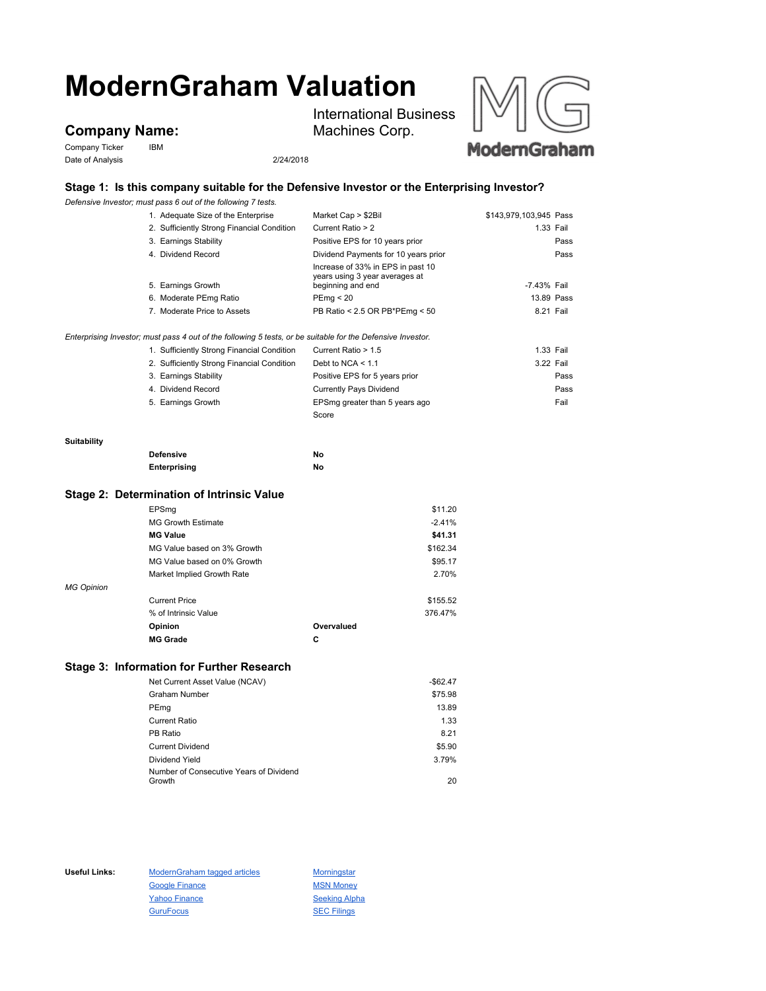# **ModernGraham Valuation**

## **Company Name:**

Company Ticker IBM Date of Analysis 2/24/2018

International Business Machines Corp.



### **Stage 1: Is this company suitable for the Defensive Investor or the Enterprising Investor?**

*Defensive Investor; must pass 6 out of the following 7 tests.*

|                   | Defensive investor; must pass 6 out of the following 7 tests.                                               |                                                                                          |                        |
|-------------------|-------------------------------------------------------------------------------------------------------------|------------------------------------------------------------------------------------------|------------------------|
|                   | 1. Adequate Size of the Enterprise                                                                          | Market Cap > \$2Bil                                                                      | \$143,979,103,945 Pass |
|                   | 2. Sufficiently Strong Financial Condition                                                                  | Current Ratio > 2                                                                        | 1.33 Fail              |
|                   | 3. Earnings Stability                                                                                       | Positive EPS for 10 years prior                                                          | Pass                   |
|                   | 4. Dividend Record                                                                                          | Dividend Payments for 10 years prior                                                     | Pass                   |
|                   | 5. Earnings Growth                                                                                          | Increase of 33% in EPS in past 10<br>years using 3 year averages at<br>beginning and end | -7.43% Fail            |
|                   |                                                                                                             |                                                                                          | 13.89 Pass             |
|                   | 6. Moderate PEmg Ratio                                                                                      | PEmg < 20                                                                                |                        |
|                   | 7. Moderate Price to Assets                                                                                 | PB Ratio < 2.5 OR PB*PEmg < 50                                                           | 8.21 Fail              |
|                   | Enterprising Investor; must pass 4 out of the following 5 tests, or be suitable for the Defensive Investor. |                                                                                          |                        |
|                   | 1. Sufficiently Strong Financial Condition                                                                  | Current Ratio > 1.5                                                                      | 1.33 Fail              |
|                   | 2. Sufficiently Strong Financial Condition                                                                  | Debt to NCA $<$ 1.1                                                                      | 3.22 Fail              |
|                   | 3. Earnings Stability                                                                                       | Positive EPS for 5 years prior                                                           | Pass                   |
|                   | 4. Dividend Record                                                                                          | <b>Currently Pays Dividend</b>                                                           | Pass                   |
|                   | 5. Earnings Growth                                                                                          | EPSmg greater than 5 years ago                                                           | Fail                   |
|                   |                                                                                                             | Score                                                                                    |                        |
|                   |                                                                                                             |                                                                                          |                        |
| Suitability       |                                                                                                             |                                                                                          |                        |
|                   | <b>Defensive</b>                                                                                            | No                                                                                       |                        |
|                   | Enterprising                                                                                                | No                                                                                       |                        |
|                   | Stage 2: Determination of Intrinsic Value                                                                   |                                                                                          |                        |
|                   | EPSmg                                                                                                       | \$11.20                                                                                  |                        |
|                   | <b>MG Growth Estimate</b>                                                                                   | $-2.41%$                                                                                 |                        |
|                   | <b>MG Value</b>                                                                                             | \$41.31                                                                                  |                        |
|                   | MG Value based on 3% Growth                                                                                 | \$162.34                                                                                 |                        |
|                   | MG Value based on 0% Growth                                                                                 | \$95.17                                                                                  |                        |
|                   | Market Implied Growth Rate                                                                                  | 2.70%                                                                                    |                        |
| <b>MG Opinion</b> |                                                                                                             |                                                                                          |                        |
|                   | <b>Current Price</b>                                                                                        | \$155.52                                                                                 |                        |
|                   | % of Intrinsic Value                                                                                        | 376.47%                                                                                  |                        |
|                   | Opinion                                                                                                     | Overvalued                                                                               |                        |
|                   | <b>MG Grade</b>                                                                                             | C                                                                                        |                        |
|                   |                                                                                                             |                                                                                          |                        |
|                   | Stage 3: Information for Further Research                                                                   |                                                                                          |                        |

| Net Current Asset Value (NCAV)                    | $-$62.47$ |
|---------------------------------------------------|-----------|
| Graham Number                                     | \$75.98   |
| PEmg                                              | 13.89     |
| <b>Current Ratio</b>                              | 1.33      |
| PB Ratio                                          | 8.21      |
| <b>Current Dividend</b>                           | \$5.90    |
| Dividend Yield                                    | 3.79%     |
| Number of Consecutive Years of Dividend<br>Growth | 20        |
|                                                   |           |

Useful Links: ModernGraham tagged articles Morningstar Google Finance MSN Money Yahoo Finance Seeking Alpha GuruFocus **SEC Filings**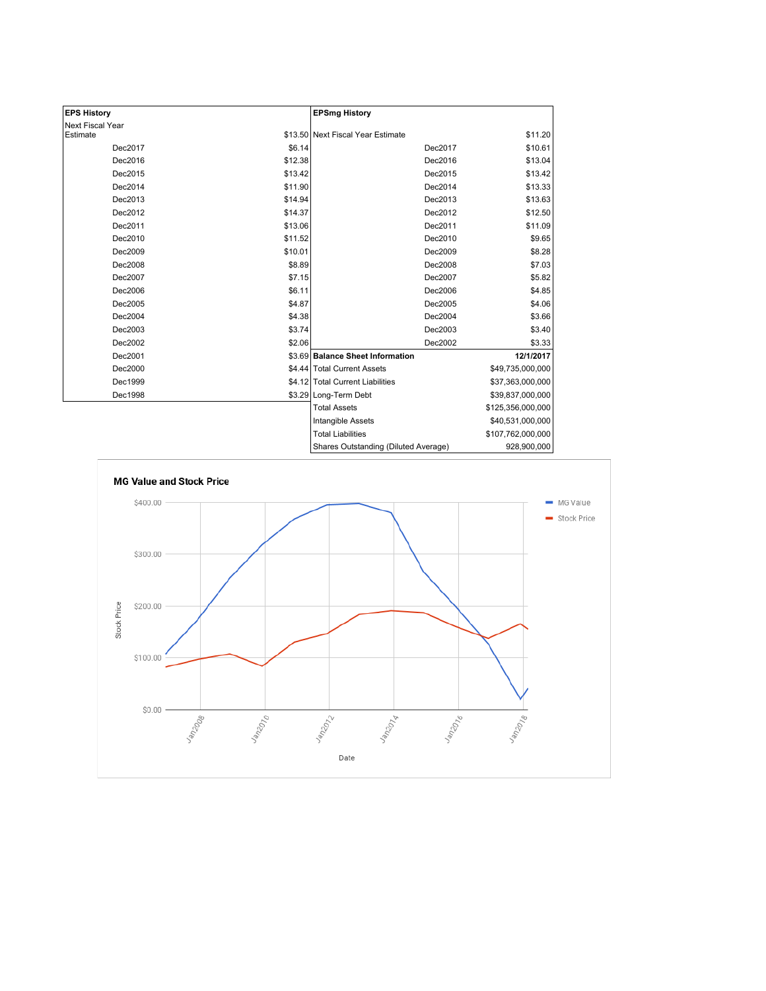| <b>EPS History</b> |         | <b>EPSmg History</b>                 |                   |
|--------------------|---------|--------------------------------------|-------------------|
| Next Fiscal Year   |         |                                      |                   |
| Estimate           |         | \$13.50 Next Fiscal Year Estimate    | \$11.20           |
| Dec2017            | \$6.14  | Dec2017                              | \$10.61           |
| Dec2016            | \$12.38 | Dec2016                              | \$13.04           |
| Dec2015            | \$13.42 | Dec2015                              | \$13.42           |
| Dec2014            | \$11.90 | Dec2014                              | \$13.33           |
| Dec2013            | \$14.94 | Dec2013                              | \$13.63           |
| Dec2012            | \$14.37 | Dec2012                              | \$12.50           |
| Dec2011            | \$13.06 | Dec2011                              | \$11.09           |
| Dec2010            | \$11.52 | Dec2010                              | \$9.65            |
| Dec2009            | \$10.01 | Dec2009                              | \$8.28            |
| Dec2008            | \$8.89  | Dec2008                              | \$7.03            |
| Dec2007            | \$7.15  | Dec2007                              | \$5.82            |
| Dec2006            | \$6.11  | Dec2006                              | \$4.85            |
| Dec2005            | \$4.87  | Dec2005                              | \$4.06            |
| Dec2004            | \$4.38  | Dec2004                              | \$3.66            |
| Dec2003            | \$3.74  | Dec2003                              | \$3.40            |
| Dec2002            | \$2.06  | Dec2002                              | \$3.33            |
| Dec2001            |         | \$3.69 Balance Sheet Information     | 12/1/2017         |
| Dec2000            |         | \$4.44 Total Current Assets          | \$49,735,000,000  |
| Dec1999            |         | \$4.12 Total Current Liabilities     | \$37,363,000,000  |
| Dec1998            |         | \$3.29 Long-Term Debt                | \$39,837,000,000  |
|                    |         | <b>Total Assets</b>                  | \$125,356,000,000 |
|                    |         | Intangible Assets                    | \$40,531,000,000  |
|                    |         | <b>Total Liabilities</b>             | \$107,762,000,000 |
|                    |         | Shares Outstanding (Diluted Average) | ass ann nnn l     |